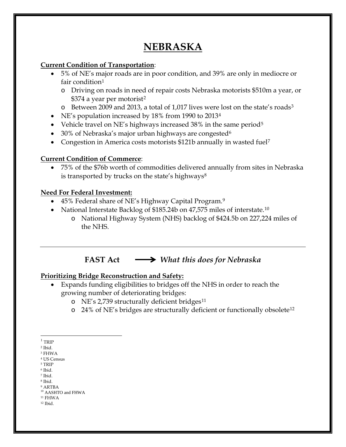# **NEBRASKA**

#### **Current Condition of Transportation**:

- 5% of NE's major roads are in poor condition, and 39% are only in mediocre or fair condition<sup>[1](#page-0-0)</sup>
	- o Driving on roads in need of repair costs Nebraska motorists \$510m a year, or \$374 a year per motorist<sup>[2](#page-0-1)</sup>
	- o Between 2009 and 2013, a total of 1,017 lives were lost on the state's roads[3](#page-0-2)
- NE's population increased by 18% from 1990 to 2013<sup>[4](#page-0-3)</sup>
- Vehicle travel on NE's highways increased  $38\%$  in the same period<sup>[5](#page-0-4)</sup>
- 30% of Nebraska's major urban highways are congested<sup>6</sup>
- Congestion in America costs motorists \$121b annually in wasted fuel<sup>[7](#page-0-6)</sup>

## **Current Condition of Commerce**:

• 75% of the \$76b worth of commodities delivered annually from sites in Nebraska is transported by trucks on the state's highways<sup>[8](#page-0-7)</sup>

## **Need For Federal Investment:**

- 45% Federal share of NE's Highway Capital Program.<sup>[9](#page-0-8)</sup>
- National Interstate Backlog of \$185.24b on 47,575 miles of interstate.<sup>[10](#page-0-9)</sup>
	- o National Highway System (NHS) backlog of \$424.5b on 227,224 miles of the NHS.

**FAST Act** *What this does for Nebraska*

# **Prioritizing Bridge Reconstruction and Safety:**

- Expands funding eligibilities to bridges off the NHS in order to reach the growing number of deteriorating bridges:
	- o NE's 2,739 structurally deficient bridges<sup>[11](#page-0-10)</sup>
	- o 24% of NE's bridges are structurally deficient or functionally obsolete[12](#page-0-11)

- <span id="page-0-5"></span><span id="page-0-4"></span><span id="page-0-3"></span><sup>5</sup> TRIP
- <sup>6</sup> Ibid. <sup>7</sup> Ibid.
- <span id="page-0-7"></span><span id="page-0-6"></span><sup>8</sup> Ibid.
- <span id="page-0-8"></span><sup>9</sup> ARTBA
- <sup>10</sup> AASHTO and FHWA
- <span id="page-0-11"></span><span id="page-0-10"></span><span id="page-0-9"></span> $^{\rm 11}$  FHWA <sup>12</sup> Ibid.
	-

<span id="page-0-0"></span> $^{\rm 1}$  TRIP

<span id="page-0-1"></span><sup>2</sup> Ibid.

<span id="page-0-2"></span><sup>3</sup> FHWA

<sup>4</sup> US Census